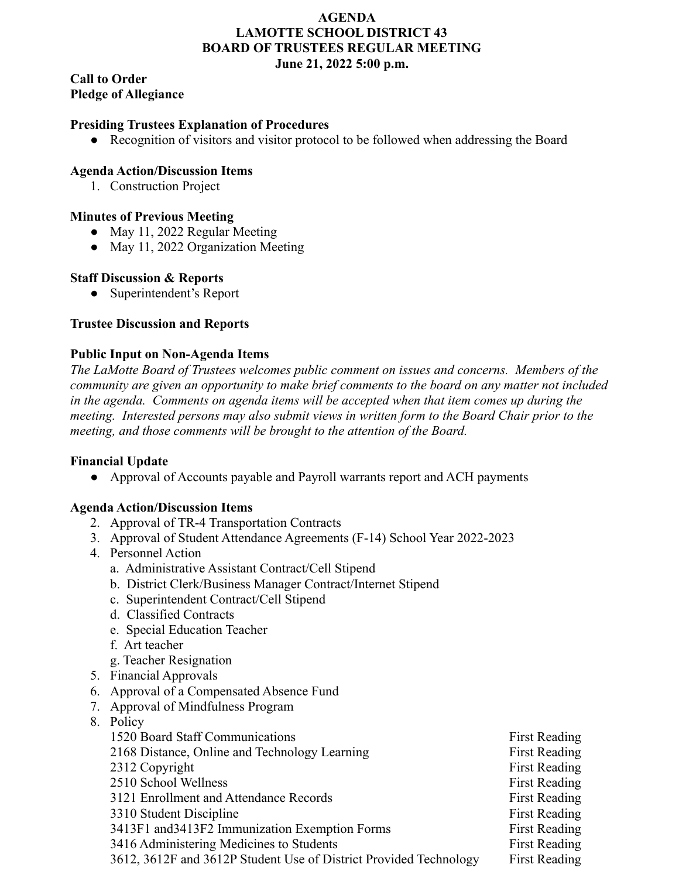#### **AGENDA LAMOTTE SCHOOL DISTRICT 43 BOARD OF TRUSTEES REGULAR MEETING June 21, 2022 5:00 p.m.**

**Call to Order Pledge of Allegiance**

### **Presiding Trustees Explanation of Procedures**

**●** Recognition of visitors and visitor protocol to be followed when addressing the Board

#### **Agenda Action/Discussion Items**

1. Construction Project

### **Minutes of Previous Meeting**

- May 11, 2022 Regular Meeting
- May 11, 2022 Organization Meeting

#### **Staff Discussion & Reports**

• Superintendent's Report

#### **Trustee Discussion and Reports**

#### **Public Input on Non-Agenda Items**

*The LaMotte Board of Trustees welcomes public comment on issues and concerns. Members of the community are given an opportunity to make brief comments to the board on any matter not included in the agenda. Comments on agenda items will be accepted when that item comes up during the meeting. Interested persons may also submit views in written form to the Board Chair prior to the meeting, and those comments will be brought to the attention of the Board.*

## **Financial Update**

● Approval of Accounts payable and Payroll warrants report and ACH payments

## **Agenda Action/Discussion Items**

- 2. Approval of TR-4 Transportation Contracts
- 3. Approval of Student Attendance Agreements (F-14) School Year 2022-2023
- 4. Personnel Action
	- a. Administrative Assistant Contract/Cell Stipend
	- b. District Clerk/Business Manager Contract/Internet Stipend
	- c. Superintendent Contract/Cell Stipend
	- d. Classified Contracts
	- e. Special Education Teacher
	- f. Art teacher
	- g. Teacher Resignation
- 5. Financial Approvals
- 6. Approval of a Compensated Absence Fund
- 7. Approval of Mindfulness Program
- 8. Policy

| 1520 Board Staff Communications                                   | <b>First Reading</b> |
|-------------------------------------------------------------------|----------------------|
| 2168 Distance, Online and Technology Learning                     | <b>First Reading</b> |
| 2312 Copyright                                                    | <b>First Reading</b> |
| 2510 School Wellness                                              | <b>First Reading</b> |
| 3121 Enrollment and Attendance Records                            | <b>First Reading</b> |
| 3310 Student Discipline                                           | <b>First Reading</b> |
| 3413F1 and 3413F2 Immunization Exemption Forms                    | <b>First Reading</b> |
| 3416 Administering Medicines to Students                          | <b>First Reading</b> |
| 3612, 3612F and 3612P Student Use of District Provided Technology | <b>First Reading</b> |